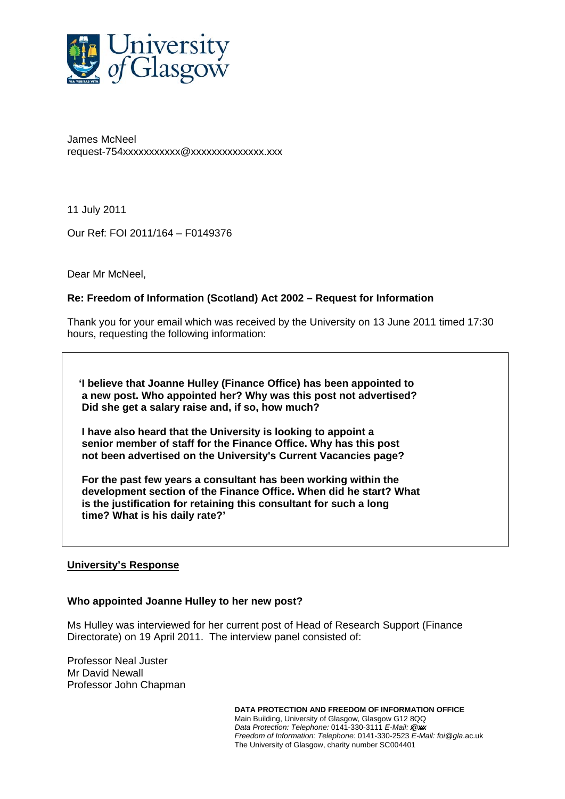

James McNeel request-754xxxxxxxxxxx@xxxxxxxxxxxxxx.xxx

11 July 2011

Our Ref: FOI 2011/164 – F0149376

Dear Mr McNeel,

## **Re: Freedom of Information (Scotland) Act 2002 – Request for Information**

Thank you for your email which was received by the University on 13 June 2011 timed 17:30 hours, requesting the following information:

 **'I believe that Joanne Hulley (Finance Office) has been appointed to a new post. Who appointed her? Why was this post not advertised? Did she get a salary raise and, if so, how much?** 

 **I have also heard that the University is looking to appoint a senior member of staff for the Finance Office. Why has this post not been advertised on the University's Current Vacancies page?** 

 **For the past few years a consultant has been working within the development section of the Finance Office. When did he start? What is the justification for retaining this consultant for such a long time? What is his daily rate?'** 

#### **University's Response**

#### **Who appointed Joanne Hulley to her new post?**

Ms Hulley was interviewed for her current post of Head of Research Support (Finance Directorate) on 19 April 2011. The interview panel consisted of:

Professor Neal Juster Mr David Newall Professor John Chapman

> **DATA PROTECTION AND FREEDOM OF INFORMATION OFFICE**  Main Building, University of Glasgow, Glasgow G12 8QQ *Data Protection: Telephone: 0141-330-3111 E-Mail: @xx. Freedom of Information: Telephone:* 0141-330-2523 *E-Mail: foi@gla*.ac.uk The University of Glasgow, charity number SC004401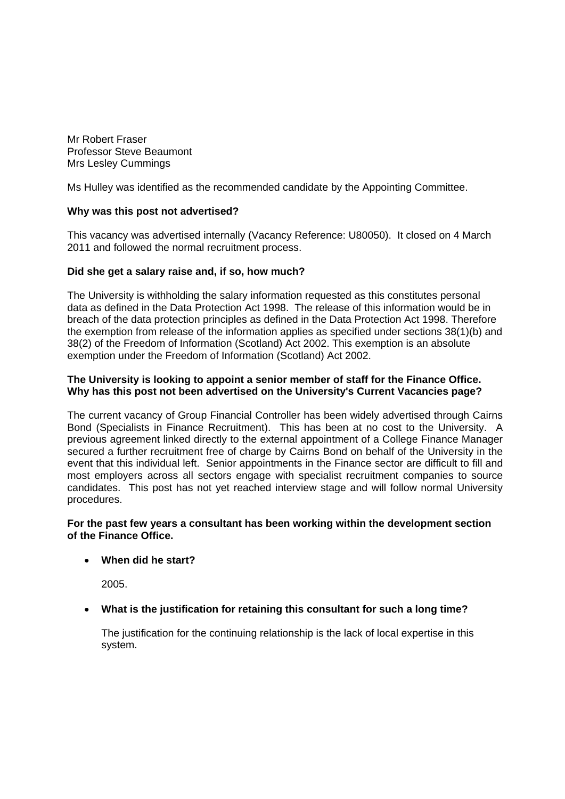Mr Robert Fraser Professor Steve Beaumont Mrs Lesley Cummings

Ms Hulley was identified as the recommended candidate by the Appointing Committee.

## **Why was this post not advertised?**

This vacancy was advertised internally (Vacancy Reference: U80050). It closed on 4 March 2011 and followed the normal recruitment process.

## **Did she get a salary raise and, if so, how much?**

The University is withholding the salary information requested as this constitutes personal data as defined in the Data Protection Act 1998. The release of this information would be in breach of the data protection principles as defined in the Data Protection Act 1998. Therefore the exemption from release of the information applies as specified under sections 38(1)(b) and 38(2) of the Freedom of Information (Scotland) Act 2002. This exemption is an absolute exemption under the Freedom of Information (Scotland) Act 2002.

#### **The University is looking to appoint a senior member of staff for the Finance Office. Why has this post not been advertised on the University's Current Vacancies page?**

The current vacancy of Group Financial Controller has been widely advertised through Cairns Bond (Specialists in Finance Recruitment). This has been at no cost to the University. A previous agreement linked directly to the external appointment of a College Finance Manager secured a further recruitment free of charge by Cairns Bond on behalf of the University in the event that this individual left. Senior appointments in the Finance sector are difficult to fill and most employers across all sectors engage with specialist recruitment companies to source candidates. This post has not yet reached interview stage and will follow normal University procedures.

## **For the past few years a consultant has been working within the development section of the Finance Office.**

## **When did he start?**

2005.

# **What is the justification for retaining this consultant for such a long time?**

The justification for the continuing relationship is the lack of local expertise in this system.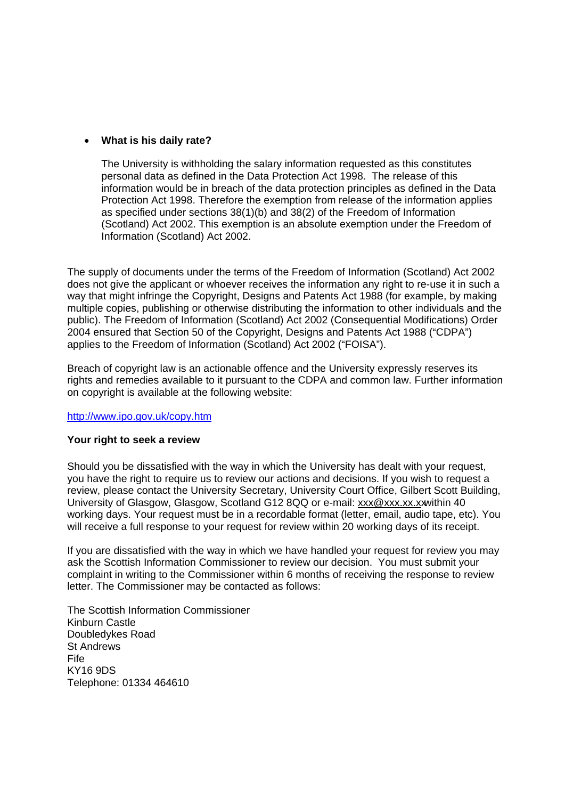#### **What is his daily rate?**

The University is withholding the salary information requested as this constitutes personal data as defined in the Data Protection Act 1998. The release of this information would be in breach of the data protection principles as defined in the Data Protection Act 1998. Therefore the exemption from release of the information applies as specified under sections 38(1)(b) and 38(2) of the Freedom of Information (Scotland) Act 2002. This exemption is an absolute exemption under the Freedom of Information (Scotland) Act 2002.

The supply of documents under the terms of the Freedom of Information (Scotland) Act 2002 does not give the applicant or whoever receives the information any right to re-use it in such a way that might infringe the Copyright, Designs and Patents Act 1988 (for example, by making multiple copies, publishing or otherwise distributing the information to other individuals and the public). The Freedom of Information (Scotland) Act 2002 (Consequential Modifications) Order 2004 ensured that Section 50 of the Copyright, Designs and Patents Act 1988 ("CDPA") applies to the Freedom of Information (Scotland) Act 2002 ("FOISA").

Breach of copyright law is an actionable offence and the University expressly reserves its rights and remedies available to it pursuant to the CDPA and common law. Further information on copyright is available at the following website:

<http://www.ipo.gov.uk/copy.htm>

#### **Your right to seek a review**

Should you be dissatisfied with the way in which the University has dealt with your request, you have the right to require us to review our actions and decisions. If you wish to request a review, please contact the University Secretary, University Court Office, Gilbert Scott Building, University of Glasgow, Glasgow, Scotland G12 8QQ or e-mail: xxx@xxx.xx.xwithin 40 working days. Your request must be in a recordable format (letter, email, audio tape, etc). You will receive a full response to your request for review within 20 working days of its receipt.

If you are dissatisfied with the way in which we have handled your request for review you may ask the Scottish Information Commissioner to review our decision. You must submit your complaint in writing to the Commissioner within 6 months of receiving the response to review letter. The Commissioner may be contacted as follows:

The Scottish Information Commissioner Kinburn Castle Doubledykes Road St Andrews Fife KY16 9DS Telephone: 01334 464610